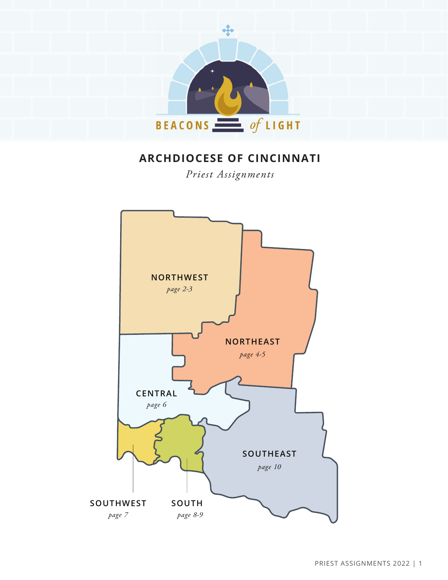

# **ARCHDIOCESE OF CINCINNATI**

*Priest Assignments*

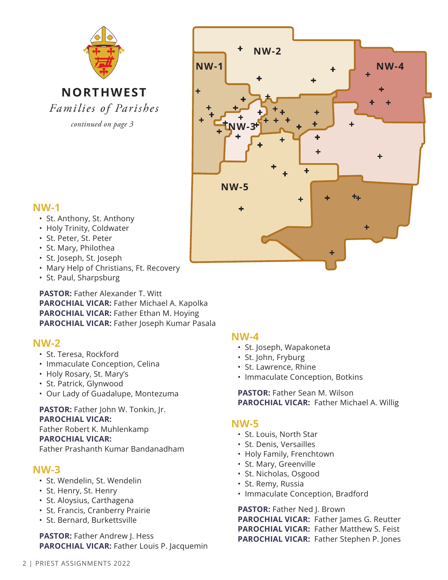

**NORTHWEST** Families of Parishes

*continued on page 3*



# **NW-1**

- St. Anthony, St. Anthony
- Holy Trinity, Coldwater
- St. Peter, St. Peter
- St. Mary, Philothea
- St. Joseph, St. Joseph
- Mary Help of Christians, Ft. Recovery
- St. Paul, Sharpsburg

**PASTOR:** Father Alexander T. Witt **PAROCHIAL VICAR:** Father Michael A. Kapolka **PAROCHIAL VICAR:** Father Ethan M. Hoying **PAROCHIAL VICAR:** Father Joseph Kumar Pasala

# **NW-2**

- St. Teresa, Rockford
- Immaculate Conception, Celina
- Holy Rosary, St. Mary's
- St. Patrick, Glynwood
- Our Lady of Guadalupe, Montezuma

**PASTOR:** Father John W. Tonkin, Jr. **PAROCHIAL VICAR:** Father Robert K. Muhlenkamp **PAROCHIAL VICAR:** Father Prashanth Kumar Bandanadham

### **NW-3**

- St. Wendelin, St. Wendelin
- St. Henry, St. Henry
- St. Aloysius, Carthagena
- St. Francis, Cranberry Prairie
- St. Bernard, Burkettsville

**PASTOR:** Father Andrew J. Hess **PAROCHIAL VICAR:** Father Louis P. Jacquemin

### **NW-4**

- St. Joseph, Wapakoneta
- St. John, Fryburg
- St. Lawrence, Rhine
- Immaculate Conception, Botkins

**PASTOR:** Father Sean M. Wilson **PAROCHIAL VICAR:** Father Michael A. Willig

### **NW-5**

- St. Louis, North Star
- St. Denis, Versailles
- Holy Family, Frenchtown
- St. Mary, Greenville
- St. Nicholas, Osgood
- St. Remy, Russia
- Immaculate Conception, Bradford

PASTOR: Father Ned J. Brown **PAROCHIAL VICAR:** Father James G. Reutter **PAROCHIAL VICAR:** Father Matthew S. Feist **PAROCHIAL VICAR:** Father Stephen P. Jones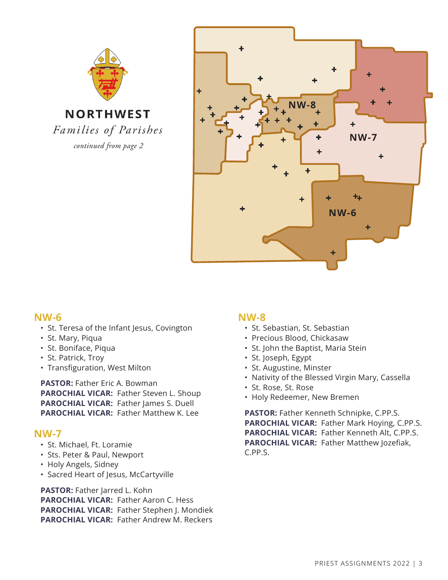



### **NW-6**

- St. Teresa of the Infant Jesus, Covington
- St. Mary, Piqua
- St. Boniface, Piqua
- St. Patrick, Troy
- Transfiguration, West Milton

**PASTOR: Father Eric A. Bowman PAROCHIAL VICAR:** Father Steven L. Shoup **PAROCHIAL VICAR: Father James S. Duell PAROCHIAL VICAR:** Father Matthew K. Lee

### **NW-7**

- St. Michael, Ft. Loramie
- Sts. Peter & Paul, Newport
- Holy Angels, Sidney
- Sacred Heart of Jesus, McCartyville

**PASTOR:** Father Jarred L. Kohn **PAROCHIAL VICAR:** Father Aaron C. Hess **PAROCHIAL VICAR:** Father Stephen J. Mondiek **PAROCHIAL VICAR:** Father Andrew M. Reckers

### **NW-8**

- St. Sebastian, St. Sebastian
- Precious Blood, Chickasaw
- St. John the Baptist, Maria Stein
- St. Joseph, Egypt
- St. Augustine, Minster
- Nativity of the Blessed Virgin Mary, Cassella
- St. Rose, St. Rose
- Holy Redeemer, New Bremen

**PASTOR:** Father Kenneth Schnipke, C.PP.S. **PAROCHIAL VICAR:** Father Mark Hoying, C.PP.S. **PAROCHIAL VICAR:** Father Kenneth Alt, C.PP.S. **PAROCHIAL VICAR:** Father Matthew Jozefiak, C.PP.S.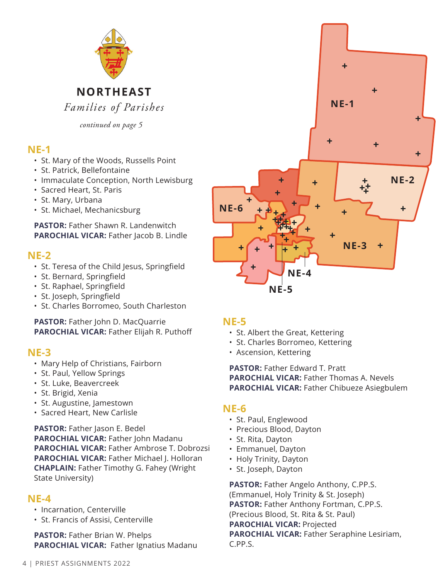

*continued on page 5*

# **NE-1**

- St. Mary of the Woods, Russells Point
- St. Patrick, Bellefontaine
- Immaculate Conception, North Lewisburg
- Sacred Heart, St. Paris
- St. Mary, Urbana
- St. Michael, Mechanicsburg

**PASTOR:** Father Shawn R. Landenwitch **PAROCHIAL VICAR: Father Jacob B. Lindle** 

### **NE-2**

- St. Teresa of the Child Jesus, Springfield
- St. Bernard, Springfield
- St. Raphael, Springfield
- St. Joseph, Springfield
- St. Charles Borromeo, South Charleston

**PASTOR:** Father John D. MacQuarrie **PAROCHIAL VICAR:** Father Elijah R. Puthoff

### **NE-3**

- Mary Help of Christians, Fairborn
- St. Paul, Yellow Springs
- St. Luke, Beavercreek
- St. Brigid, Xenia
- St. Augustine, Jamestown
- Sacred Heart, New Carlisle

PASTOR: Father Jason E. Bedel **PAROCHIAL VICAR:** Father John Madanu **PAROCHIAL VICAR:** Father Ambrose T. Dobrozsi **PAROCHIAL VICAR:** Father Michael J. Holloran **CHAPLAIN:** Father Timothy G. Fahey (Wright State University)

# **NE-4**

- Incarnation, Centerville
- St. Francis of Assisi, Centerville

**PASTOR:** Father Brian W. Phelps **PAROCHIAL VICAR:** Father Ignatius Madanu



### **NE-5**

- St. Albert the Great, Kettering
- St. Charles Borromeo, Kettering
- Ascension, Kettering

#### **PASTOR: Father Edward T. Pratt PAROCHIAL VICAR:** Father Thomas A. Nevels **PAROCHIAL VICAR:** Father Chibueze Asiegbulem

### **NE-6**

- St. Paul, Englewood
- Precious Blood, Dayton
- St. Rita, Dayton
- Emmanuel, Dayton
- Holy Trinity, Dayton
- St. Joseph, Dayton

**PASTOR:** Father Angelo Anthony, C.PP.S. (Emmanuel, Holy Trinity & St. Joseph) **PASTOR:** Father Anthony Fortman, C.PP.S. (Precious Blood, St. Rita & St. Paul) **PAROCHIAL VICAR:** Projected **PAROCHIAL VICAR:** Father Seraphine Lesiriam, C.PP.S.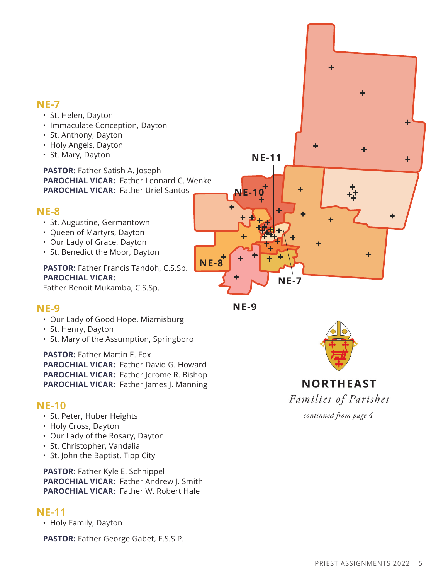### **NE-7**

- St. Helen, Dayton
- Immaculate Conception, Dayton
- St. Anthony, Dayton
- Holy Angels, Dayton
- St. Mary, Dayton

**PASTOR:** Father Satish A. Joseph **PAROCHIAL VICAR:** Father Leonard C. Wenke **PAROCHIAL VICAR:** Father Uriel Santos

### **NE-8**

- St. Augustine, Germantown
- Queen of Martyrs, Dayton
- Our Lady of Grace, Dayton
- St. Benedict the Moor, Dayton

**PASTOR: Father Francis Tandoh, C.S.Sp. PAROCHIAL VICAR:**

Father Benoit Mukamba, C.S.Sp.

### **NE-9**

- Our Lady of Good Hope, Miamisburg
- St. Henry, Dayton
- St. Mary of the Assumption, Springboro

**PASTOR: Father Martin E. Fox PAROCHIAL VICAR:** Father David G. Howard **PAROCHIAL VICAR:** Father Jerome R. Bishop **PAROCHIAL VICAR:** Father James J. Manning

### **NE-10**

- St. Peter, Huber Heights
- Holy Cross, Dayton
- Our Lady of the Rosary, Dayton
- St. Christopher, Vandalia
- St. John the Baptist, Tipp City

**PASTOR:** Father Kyle E. Schnippel **PAROCHIAL VICAR:** Father Andrew J. Smith **PAROCHIAL VICAR:** Father W. Robert Hale

### **NE-11**

• Holy Family, Dayton

**PASTOR:** Father George Gabet, F.S.S.P.







# **NORTHEAST** Families of Parishes

*continued from page 4*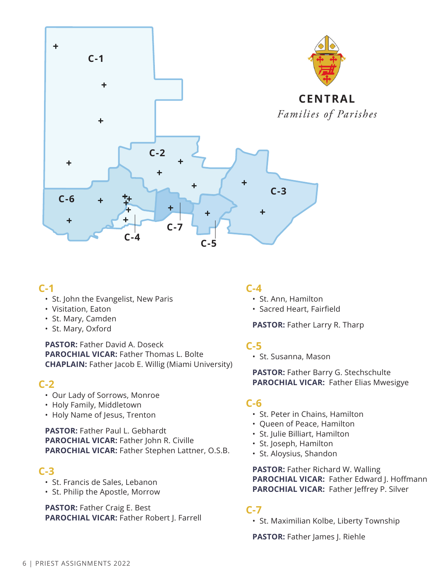

### **C-1**

- St. John the Evangelist, New Paris
- Visitation, Eaton
- St. Mary, Camden
- St. Mary, Oxford

**PASTOR:** Father David A. Doseck **PAROCHIAL VICAR:** Father Thomas L. Bolte **CHAPLAIN:** Father Jacob E. Willig (Miami University)

### **C-2**

- Our Lady of Sorrows, Monroe
- Holy Family, Middletown
- Holy Name of Jesus, Trenton

**PASTOR:** Father Paul L. Gebhardt **PAROCHIAL VICAR:** Father John R. Civille **PAROCHIAL VICAR:** Father Stephen Lattner, O.S.B.

# **C-3**

- St. Francis de Sales, Lebanon
- St. Philip the Apostle, Morrow

**PASTOR:** Father Craig E. Best **PAROCHIAL VICAR:** Father Robert J. Farrell

### **C-4**

- St. Ann, Hamilton
- Sacred Heart, Fairfield

**PASTOR:** Father Larry R. Tharp

### **C-5**

• St. Susanna, Mason

**PASTOR: Father Barry G. Stechschulte PAROCHIAL VICAR:** Father Elias Mwesigye

### **C-6**

- St. Peter in Chains, Hamilton
- Queen of Peace, Hamilton
- St. Julie Billiart, Hamilton
- St. Joseph, Hamilton
- St. Aloysius, Shandon

**PASTOR: Father Richard W. Walling PAROCHIAL VICAR:** Father Edward J. Hoffmann **PAROCHIAL VICAR:** Father Jeffrey P. Silver

### **C-7**

• St. Maximilian Kolbe, Liberty Township

**PASTOR:** Father James J. Riehle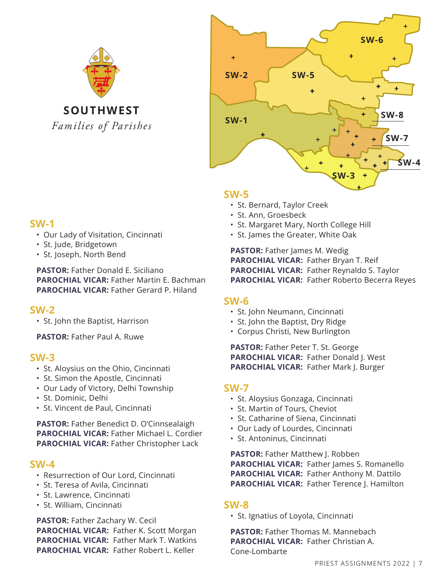



#### **SW-5**

- St. Bernard, Taylor Creek
- St. Ann, Groesbeck
- St. Margaret Mary, North College Hill
- St. James the Greater, White Oak

**PASTOR: Father James M. Wedig PAROCHIAL VICAR:** Father Bryan T. Reif **PAROCHIAL VICAR:** Father Reynaldo S. Taylor **PAROCHIAL VICAR:** Father Roberto Becerra Reyes

### **SW-6**

- St. John Neumann, Cincinnati
- St. John the Baptist, Dry Ridge
- Corpus Christi, New Burlington

PASTOR: Father Peter T. St. George **PAROCHIAL VICAR:** Father Donald J. West **PAROCHIAL VICAR:** Father Mark J. Burger

### **SW-7**

- St. Aloysius Gonzaga, Cincinnati
- St. Martin of Tours, Cheviot
- St. Catharine of Siena, Cincinnati
- Our Lady of Lourdes, Cincinnati
- St. Antoninus, Cincinnati

**PASTOR:** Father Matthew J. Robben **PAROCHIAL VICAR: Father James S. Romanello PAROCHIAL VICAR:** Father Anthony M. Dattilo **PAROCHIAL VICAR:** Father Terence J. Hamilton

### **SW-8**

• St. Ignatius of Loyola, Cincinnati

**PASTOR:** Father Thomas M. Mannebach **PAROCHIAL VICAR:** Father Christian A. Cone-Lombarte

# **SW-1**

- Our Lady of Visitation, Cincinnati
- St. Jude, Bridgetown
- St. Joseph, North Bend

**PASTOR:** Father Donald E. Siciliano **PAROCHIAL VICAR:** Father Martin E. Bachman **PAROCHIAL VICAR:** Father Gerard P. Hiland

# **SW-2**

• St. John the Baptist, Harrison

**PASTOR:** Father Paul A. Ruwe

### **SW-3**

- St. Aloysius on the Ohio, Cincinnati
- St. Simon the Apostle, Cincinnati
- Our Lady of Victory, Delhi Township
- St. Dominic, Delhi
- St. Vincent de Paul, Cincinnati

**PASTOR:** Father Benedict D. O'Cinnsealaigh **PAROCHIAL VICAR:** Father Michael L. Cordier **PAROCHIAL VICAR:** Father Christopher Lack

# **SW-4**

- Resurrection of Our Lord, Cincinnati
- St. Teresa of Avila, Cincinnati
- St. Lawrence, Cincinnati
- St. William, Cincinnati

**PASTOR:** Father Zachary W. Cecil **PAROCHIAL VICAR:** Father K. Scott Morgan **PAROCHIAL VICAR:** Father Mark T. Watkins **PAROCHIAL VICAR:** Father Robert L. Keller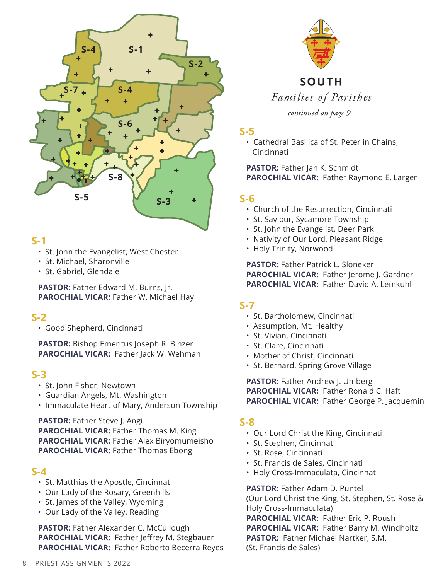

### **S-1**

- St. John the Evangelist, West Chester
- St. Michael, Sharonville
- St. Gabriel, Glendale

**PASTOR:** Father Edward M. Burns, Jr. **PAROCHIAL VICAR:** Father W. Michael Hay

# **S-2**

• Good Shepherd, Cincinnati

**PASTOR:** Bishop Emeritus Joseph R. Binzer **PAROCHIAL VICAR: Father Jack W. Wehman** 

### **S-3**

- St. John Fisher, Newtown
- Guardian Angels, Mt. Washington
- Immaculate Heart of Mary, Anderson Township

**PASTOR:** Father Steve J. Angi **PAROCHIAL VICAR:** Father Thomas M. King **PAROCHIAL VICAR:** Father Alex Biryomumeisho **PAROCHIAL VICAR:** Father Thomas Ebong

### **S-4**

- St. Matthias the Apostle, Cincinnati
- Our Lady of the Rosary, Greenhills
- St. James of the Valley, Wyoming
- Our Lady of the Valley, Reading

**PASTOR:** Father Alexander C. McCullough **PAROCHIAL VICAR:** Father Jeffrey M. Stegbauer **PAROCHIAL VICAR:** Father Roberto Becerra Reyes



*continued on page 9*

### **S-5**

• Cathedral Basilica of St. Peter in Chains, Cincinnati

#### **PASTOR: Father Jan K. Schmidt PAROCHIAL VICAR:** Father Raymond E. Larger

# **S-6**

- Church of the Resurrection, Cincinnati
- St. Saviour, Sycamore Township
- St. John the Evangelist, Deer Park
- Nativity of Our Lord, Pleasant Ridge
- Holy Trinity, Norwood

**PASTOR:** Father Patrick L. Sloneker **PAROCHIAL VICAR: Father lerome I. Gardner PAROCHIAL VICAR:** Father David A. Lemkuhl

### **S-7**

- St. Bartholomew, Cincinnati
- Assumption, Mt. Healthy
- St. Vivian, Cincinnati
- St. Clare, Cincinnati
- Mother of Christ, Cincinnati
- St. Bernard, Spring Grove Village

**PASTOR:** Father Andrew J. Umberg **PAROCHIAL VICAR:** Father Ronald C. Haft **PAROCHIAL VICAR:** Father George P. Jacquemin

#### **S-8**

- Our Lord Christ the King, Cincinnati
- St. Stephen, Cincinnati
- St. Rose, Cincinnati
- St. Francis de Sales, Cincinnati
- Holy Cross-Immaculata, Cincinnati

#### **PASTOR:** Father Adam D. Puntel

(Our Lord Christ the King, St. Stephen, St. Rose & Holy Cross-Immaculata)

**PAROCHIAL VICAR:** Father Eric P. Roush **PAROCHIAL VICAR:** Father Barry M. Windholtz **PASTOR:** Father Michael Nartker, S.M. (St. Francis de Sales)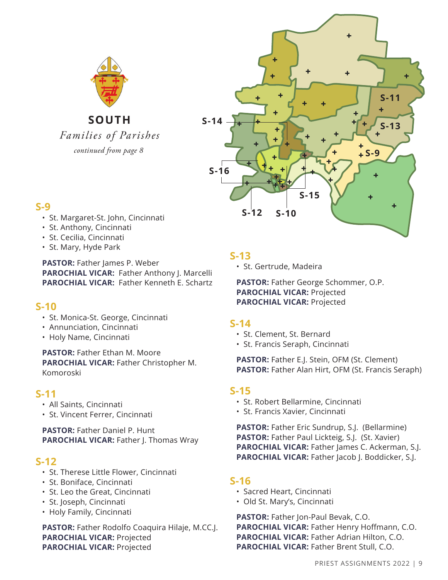

SOUTH

Families of Parishes



# **S-9**

- St. Margaret-St. John, Cincinnati
- St. Anthony, Cincinnati
- St. Cecilia, Cincinnati
- St. Mary, Hyde Park

**PASTOR:** Father James P. Weber **PAROCHIAL VICAR:** Father Anthony J. Marcelli **PAROCHIAL VICAR:** Father Kenneth E. Schartz

### **S-10**

- St. Monica-St. George, Cincinnati
- Annunciation, Cincinnati
- Holy Name, Cincinnati

**PASTOR:** Father Ethan M. Moore **PAROCHIAL VICAR:** Father Christopher M. Komoroski

### **S-11**

- All Saints, Cincinnati
- St. Vincent Ferrer, Cincinnati

**PASTOR:** Father Daniel P. Hunt **PAROCHIAL VICAR:** Father J. Thomas Wray

### **S-12**

- St. Therese Little Flower, Cincinnati
- St. Boniface, Cincinnati
- St. Leo the Great, Cincinnati
- St. Joseph, Cincinnati
- Holy Family, Cincinnati

**PASTOR:** Father Rodolfo Coaquira Hilaje, M.CC.J. **PAROCHIAL VICAR:** Projected **PAROCHIAL VICAR:** Projected

# **S-13**

• St. Gertrude, Madeira

**PASTOR:** Father George Schommer, O.P. **PAROCHIAL VICAR:** Projected **PAROCHIAL VICAR:** Projected

# **S-14**

- St. Clement, St. Bernard
- St. Francis Seraph, Cincinnati

**PASTOR:** Father E.J. Stein, OFM (St. Clement) **PASTOR:** Father Alan Hirt, OFM (St. Francis Seraph)

# **S-15**

- St. Robert Bellarmine, Cincinnati
- St. Francis Xavier, Cincinnati

**PASTOR:** Father Eric Sundrup, S.J. (Bellarmine) **PASTOR:** Father Paul Lickteig, S.J. (St. Xavier) **PAROCHIAL VICAR:** Father James C. Ackerman, S.J. **PAROCHIAL VICAR:** Father Jacob J. Boddicker, S.J.

# **S-16**

- Sacred Heart, Cincinnati
- Old St. Mary's, Cincinnati

**PASTOR:** Father Jon-Paul Bevak, C.O. **PAROCHIAL VICAR:** Father Henry Hoffmann, C.O. **PAROCHIAL VICAR:** Father Adrian Hilton, C.O. **PAROCHIAL VICAR:** Father Brent Stull, C.O.